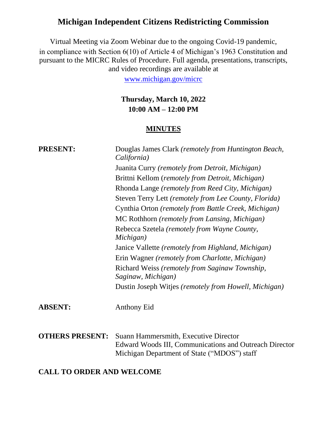# **Michigan Independent Citizens Redistricting Commission**

Virtual Meeting via Zoom Webinar due to the ongoing Covid-19 pandemic, in compliance with Section 6(10) of Article 4 of Michigan's 1963 Constitution and pursuant to the MICRC Rules of Procedure. Full agenda, presentations, transcripts, and video recordings are available at

[www.michigan.gov/micrc](http://www.michigan.gov/micrc)

## **Thursday, March 10, 2022 10:00 AM – 12:00 PM**

#### **MINUTES**

| <b>PRESENT:</b>        | Douglas James Clark (remotely from Huntington Beach,<br>California)                                                                            |
|------------------------|------------------------------------------------------------------------------------------------------------------------------------------------|
|                        | Juanita Curry (remotely from Detroit, Michigan)                                                                                                |
|                        | Brittni Kellom (remotely from Detroit, Michigan)                                                                                               |
|                        | Rhonda Lange (remotely from Reed City, Michigan)                                                                                               |
|                        | Steven Terry Lett (remotely from Lee County, Florida)                                                                                          |
|                        | Cynthia Orton (remotely from Battle Creek, Michigan)                                                                                           |
|                        | MC Rothhorn (remotely from Lansing, Michigan)                                                                                                  |
|                        | Rebecca Szetela (remotely from Wayne County,<br>Michigan)                                                                                      |
|                        | Janice Vallette (remotely from Highland, Michigan)                                                                                             |
|                        | Erin Wagner (remotely from Charlotte, Michigan)                                                                                                |
|                        | Richard Weiss (remotely from Saginaw Township,<br>Saginaw, Michigan)                                                                           |
|                        | Dustin Joseph Witjes (remotely from Howell, Michigan)                                                                                          |
| <b>ABSENT:</b>         | <b>Anthony Eid</b>                                                                                                                             |
| <b>OTHERS PRESENT:</b> | Suann Hammersmith, Executive Director<br>Edward Woods III, Communications and Outreach Director<br>Michigan Department of State ("MDOS") staff |

#### **CALL TO ORDER AND WELCOME**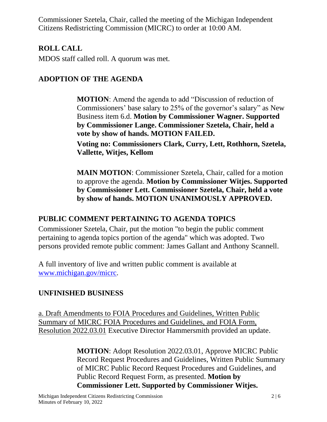Commissioner Szetela, Chair, called the meeting of the Michigan Independent Citizens Redistricting Commission (MICRC) to order at 10:00 AM.

## **ROLL CALL**

MDOS staff called roll. A quorum was met.

# **ADOPTION OF THE AGENDA**

**MOTION**: Amend the agenda to add "Discussion of reduction of Commissioners' base salary to 25% of the governor's salary" as New Business item 6.d. **Motion by Commissioner Wagner. Supported by Commissioner Lange. Commissioner Szetela, Chair, held a vote by show of hands. MOTION FAILED. Voting no: Commissioners Clark, Curry, Lett, Rothhorn, Szetela,** 

**Vallette, Witjes, Kellom**

**MAIN MOTION**: Commissioner Szetela, Chair, called for a motion to approve the agenda. **Motion by Commissioner Witjes. Supported by Commissioner Lett. Commissioner Szetela, Chair, held a vote by show of hands. MOTION UNANIMOUSLY APPROVED.**

## **PUBLIC COMMENT PERTAINING TO AGENDA TOPICS**

Commissioner Szetela, Chair, put the motion "to begin the public comment pertaining to agenda topics portion of the agenda" which was adopted. Two persons provided remote public comment: James Gallant and Anthony Scannell.

A full inventory of live and written public comment is available at [www.michigan.gov/micrc.](http://www.michigan.gov/micrc)

## **UNFINISHED BUSINESS**

a. Draft Amendments to FOIA Procedures and Guidelines, Written Public Summary of MICRC FOIA Procedures and Guidelines, and FOIA Form, Resolution 2022.03.01 Executive Director Hammersmith provided an update.

> **MOTION**: Adopt Resolution 2022.03.01, Approve MICRC Public Record Request Procedures and Guidelines, Written Public Summary of MICRC Public Record Request Procedures and Guidelines, and Public Record Request Form, as presented. **Motion by Commissioner Lett. Supported by Commissioner Witjes.**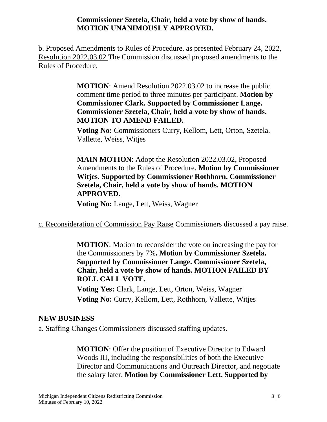**Commissioner Szetela, Chair, held a vote by show of hands. MOTION UNANIMOUSLY APPROVED.**

b. Proposed Amendments to Rules of Procedure, as presented February 24, 2022, Resolution 2022.03.02 The Commission discussed proposed amendments to the Rules of Procedure.

> **MOTION**: Amend Resolution 2022.03.02 to increase the public comment time period to three minutes per participant. **Motion by Commissioner Clark. Supported by Commissioner Lange. Commissioner Szetela, Chair, held a vote by show of hands. MOTION TO AMEND FAILED.**

**Voting No:** Commissioners Curry, Kellom, Lett, Orton, Szetela, Vallette, Weiss, Witjes

**MAIN MOTION**: Adopt the Resolution 2022.03.02, Proposed Amendments to the Rules of Procedure. **Motion by Commissioner Witjes. Supported by Commissioner Rothhorn. Commissioner Szetela, Chair, held a vote by show of hands. MOTION APPROVED.**

**Voting No:** Lange, Lett, Weiss, Wagner

c. Reconsideration of Commission Pay Raise Commissioners discussed a pay raise.

**MOTION**: Motion to reconsider the vote on increasing the pay for the Commissioners by 7%**. Motion by Commissioner Szetela. Supported by Commissioner Lange. Commissioner Szetela, Chair, held a vote by show of hands. MOTION FAILED BY ROLL CALL VOTE.**

 **Voting Yes:** Clark, Lange, Lett, Orton, Weiss, Wagner **Voting No:** Curry, Kellom, Lett, Rothhorn, Vallette, Witjes

#### **NEW BUSINESS**

a. Staffing Changes Commissioners discussed staffing updates.

**MOTION**: Offer the position of Executive Director to Edward Woods III, including the responsibilities of both the Executive Director and Communications and Outreach Director, and negotiate the salary later. **Motion by Commissioner Lett. Supported by**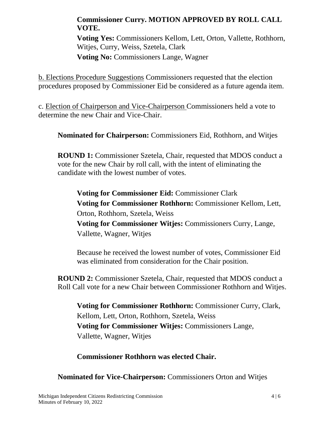### **Commissioner Curry. MOTION APPROVED BY ROLL CALL VOTE.**

**Voting Yes:** Commissioners Kellom, Lett, Orton, Vallette, Rothhorn, Witjes, Curry, Weiss, Szetela, Clark **Voting No:** Commissioners Lange, Wagner

b. Elections Procedure Suggestions Commissioners requested that the election procedures proposed by Commissioner Eid be considered as a future agenda item.

c. Election of Chairperson and Vice-Chairperson Commissioners held a vote to determine the new Chair and Vice-Chair.

**Nominated for Chairperson:** Commissioners Eid, Rothhorn, and Witjes

**ROUND 1:** Commissioner Szetela, Chair, requested that MDOS conduct a vote for the new Chair by roll call, with the intent of eliminating the candidate with the lowest number of votes.

**Voting for Commissioner Eid:** Commissioner Clark **Voting for Commissioner Rothhorn:** Commissioner Kellom, Lett, Orton, Rothhorn, Szetela, Weiss **Voting for Commissioner Witjes:** Commissioners Curry, Lange, Vallette, Wagner, Witjes

Because he received the lowest number of votes, Commissioner Eid was eliminated from consideration for the Chair position.

**ROUND 2:** Commissioner Szetela, Chair, requested that MDOS conduct a Roll Call vote for a new Chair between Commissioner Rothhorn and Witjes.

**Voting for Commissioner Rothhorn:** Commissioner Curry, Clark, Kellom, Lett, Orton, Rothhorn, Szetela, Weiss **Voting for Commissioner Witjes:** Commissioners Lange, Vallette, Wagner, Witjes

**Commissioner Rothhorn was elected Chair.**

**Nominated for Vice-Chairperson:** Commissioners Orton and Witjes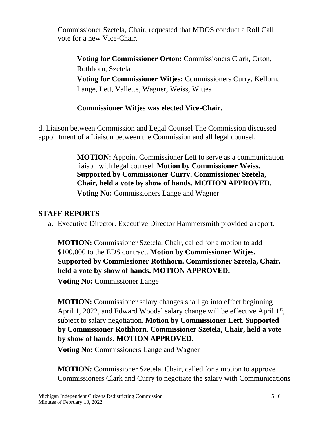Commissioner Szetela, Chair, requested that MDOS conduct a Roll Call vote for a new Vice-Chair.

**Voting for Commissioner Orton:** Commissioners Clark, Orton, Rothhorn, Szetela **Voting for Commissioner Witjes:** Commissioners Curry, Kellom, Lange, Lett, Vallette, Wagner, Weiss, Witjes

### **Commissioner Witjes was elected Vice-Chair.**

d. Liaison between Commission and Legal Counsel The Commission discussed appointment of a Liaison between the Commission and all legal counsel.

> **MOTION**: Appoint Commissioner Lett to serve as a communication liaison with legal counsel. **Motion by Commissioner Weiss. Supported by Commissioner Curry. Commissioner Szetela, Chair, held a vote by show of hands. MOTION APPROVED. Voting No:** Commissioners Lange and Wagner

### **STAFF REPORTS**

a. Executive Director. Executive Director Hammersmith provided a report.

**MOTION:** Commissioner Szetela, Chair, called for a motion to add \$100,000 to the EDS contract. **Motion by Commissioner Witjes. Supported by Commissioner Rothhorn. Commissioner Szetela, Chair, held a vote by show of hands. MOTION APPROVED.**

**Voting No:** Commissioner Lange

**MOTION:** Commissioner salary changes shall go into effect beginning April 1, 2022, and Edward Woods' salary change will be effective April 1st, subject to salary negotiation. **Motion by Commissioner Lett. Supported by Commissioner Rothhorn. Commissioner Szetela, Chair, held a vote by show of hands. MOTION APPROVED.**

**Voting No:** Commissioners Lange and Wagner

**MOTION:** Commissioner Szetela, Chair, called for a motion to approve Commissioners Clark and Curry to negotiate the salary with Communications